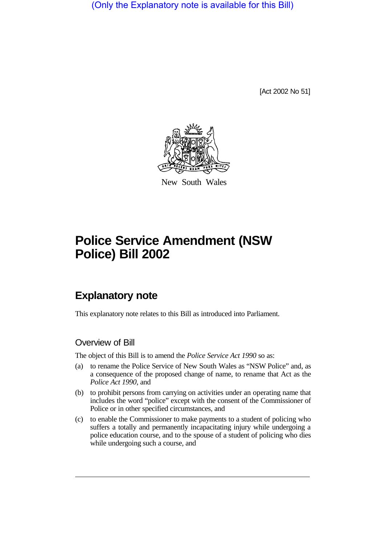(Only the Explanatory note is available for this Bill)

[Act 2002 No 51]



New South Wales

# **Police Service Amendment (NSW Police) Bill 2002**

# **Explanatory note**

This explanatory note relates to this Bill as introduced into Parliament.

### Overview of Bill

The object of this Bill is to amend the *Police Service Act 1990* so as:

- (a) to rename the Police Service of New South Wales as "NSW Police" and, as a consequence of the proposed change of name, to rename that Act as the *Police Act 1990*, and
- (b) to prohibit persons from carrying on activities under an operating name that includes the word "police" except with the consent of the Commissioner of Police or in other specified circumstances, and
- (c) to enable the Commissioner to make payments to a student of policing who suffers a totally and permanently incapacitating injury while undergoing a police education course, and to the spouse of a student of policing who dies while undergoing such a course, and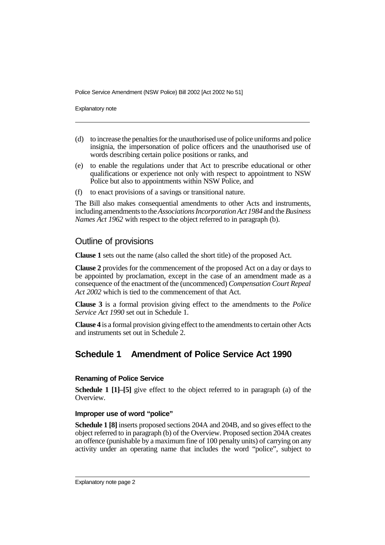Police Service Amendment (NSW Police) Bill 2002 [Act 2002 No 51]

Explanatory note

- (d) to increase the penalties for the unauthorised use of police uniforms and police insignia, the impersonation of police officers and the unauthorised use of words describing certain police positions or ranks, and
- (e) to enable the regulations under that Act to prescribe educational or other qualifications or experience not only with respect to appointment to NSW Police but also to appointments within NSW Police, and
- (f) to enact provisions of a savings or transitional nature.

The Bill also makes consequential amendments to other Acts and instruments, including amendments to the*Associations Incorporation Act 1984* and the*Business Names Act 1962* with respect to the object referred to in paragraph (b).

### Outline of provisions

**Clause 1** sets out the name (also called the short title) of the proposed Act.

**Clause 2** provides for the commencement of the proposed Act on a day or days to be appointed by proclamation, except in the case of an amendment made as a consequence of the enactment of the (uncommenced) *Compensation Court Repeal Act 2002* which is tied to the commencement of that Act.

**Clause 3** is a formal provision giving effect to the amendments to the *Police Service Act 1990* set out in Schedule 1.

**Clause 4** is a formal provision giving effect to the amendments to certain other Acts and instruments set out in Schedule 2.

## **Schedule 1 Amendment of Police Service Act 1990**

#### **Renaming of Police Service**

**Schedule 1** [1]–[5] give effect to the object referred to in paragraph (a) of the Overview.

#### **Improper use of word "police"**

**Schedule 1 [8]** inserts proposed sections 204A and 204B, and so gives effect to the object referred to in paragraph (b) of the Overview. Proposed section 204A creates an offence (punishable by a maximum fine of 100 penalty units) of carrying on any activity under an operating name that includes the word "police", subject to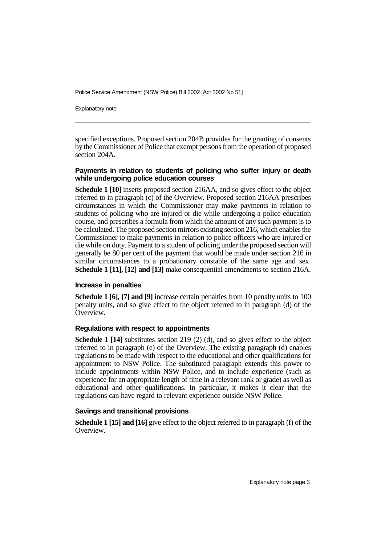Police Service Amendment (NSW Police) Bill 2002 [Act 2002 No 51]

Explanatory note

specified exceptions. Proposed section 204B provides for the granting of consents by the Commissioner of Police that exempt persons from the operation of proposed section 204A.

#### **Payments in relation to students of policing who suffer injury or death while undergoing police education courses**

**Schedule 1 [10]** inserts proposed section 216AA, and so gives effect to the object referred to in paragraph (c) of the Overview. Proposed section 216AA prescribes circumstances in which the Commissioner may make payments in relation to students of policing who are injured or die while undergoing a police education course, and prescribes a formula from which the amount of any such payment is to be calculated. The proposed section mirrors existing section 216, which enables the Commissioner to make payments in relation to police officers who are injured or die while on duty. Payment to a student of policing under the proposed section will generally be 80 per cent of the payment that would be made under section 216 in similar circumstances to a probationary constable of the same age and sex. **Schedule 1 [11], [12] and [13]** make consequential amendments to section 216A.

#### **Increase in penalties**

**Schedule 1 [6], [7] and [9]** increase certain penalties from 10 penalty units to 100 penalty units, and so give effect to the object referred to in paragraph (d) of the Overview.

#### **Regulations with respect to appointments**

**Schedule 1 [14]** substitutes section 219 (2) (d), and so gives effect to the object referred to in paragraph (e) of the Overview. The existing paragraph (d) enables regulations to be made with respect to the educational and other qualifications for appointment to NSW Police. The substituted paragraph extends this power to include appointments within NSW Police, and to include experience (such as experience for an appropriate length of time in a relevant rank or grade) as well as educational and other qualifications. In particular, it makes it clear that the regulations can have regard to relevant experience outside NSW Police.

#### **Savings and transitional provisions**

**Schedule 1 [15] and [16]** give effect to the object referred to in paragraph (f) of the Overview.